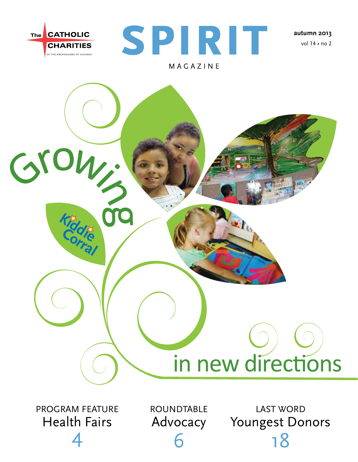



**autumn 2013** vol 14 • no 2



.<br>4

Advocacy 6

Youngest Donors 18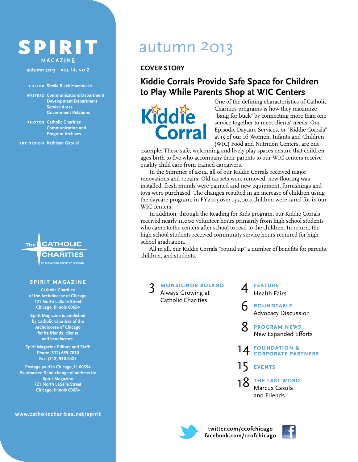#### SPIRIT magazine

**autumn 2013 vol 14, no 2**

#### **editor Sheila Black Haennicke**

**writers Communications Department Development Department Service Areas Government Relations**

**photos Catholic Charities Communication and Program Archives**

**art design Kathleen Gabriel**

#### **The**

## **CATHOLIC**

#### **spirit magazine**

**Catholic Charities of the Archdiocese of Chicago 721 North LaSalle Street Chicago, Illinois 60654**

**Spirit Magazine is published by Catholic Charities of the Archdiocese of Chicago for its friends, clients and benefactors.**

**Spirit Magazine Editors and Staff: Phone (312) 655-7010 Fax: (312) 930-0425**

**Postage paid in Chicago, IL 60654 Postmaster: Send change of address to: Spirit Magazine 721 North LaSalle Street Chicago, Illinois 60654**

**www.catholiccharities.net/spirit**

## autumn 2013

**COVER STORY**

#### **Kiddie Corrals Provide Safe Space for Children to Play While Parents Shop at WIC Centers**



One of the defining characteristics of Catholic Charities programs is how they maximize "bang for buck" by connecting more than one service together to meet clients' needs. Our Episodic Daycare Services, or "Kiddie Corrals" at 15 of our 16 Women, Infants and Children (WIC) Food and Nutrition Centers, are one

example. These safe, welcoming and lively play spaces ensure that children ages birth to five who accompany their parents to our WIC centers receive quality child care from trained caregivers.

In the Summer of 2012, all of our Kiddie Corrals received major renovations and repairs. Old carpets were removed, new flooring was installed, fresh murals were painted and new equipment, furnishings and toys were purchased. The changes resulted in an increase of children using the daycare program; in FY2013 over 132,000 children were cared for in our WIC centers.

In addition, through the Reading for Kids program, our Kiddie Corrals received nearly 11,000 volunteer hours primarily from high school students who came to the centers after school to read to the children. In return, the high school students received community service hours required for high school graduation.

All in all, our Kiddie Corrals "round up" a number of benefits for parents, children, and students.

3 **monsignor boland** Always Growing at Catholic Charities

4 **feature** Health Fairs

6 **roundtable** Advocacy Discussion

8 **program news** New Expanded Efforts



15 **events**

18 **the last word** Marcus Casula and Friends



**twitter.com/ccofchicago facebook.com/ccofchicago**

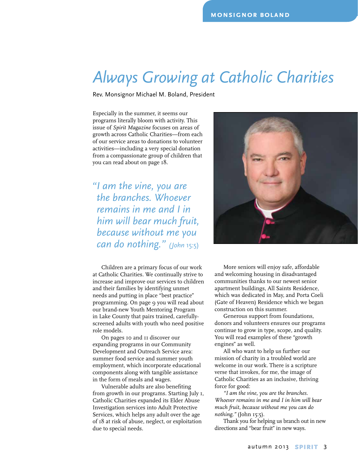## *Always Growing at Catholic Charities*

Rev. Monsignor Michael M. Boland, President

Especially in the summer, it seems our programs literally bloom with activity. This issue of *Spirit Magazine* focuses on areas of growth across Catholic Charities—from each of our service areas to donations to volunteer activities—including a very special donation from a compassionate group of children that you can read about on page 18.

*"I am the vine, you are the branches. Whoever remains in me and I in him will bear much fruit, because without me you can do nothing." (John* 15:5)

Children are a primary focus of our work at Catholic Charities. We continually strive to increase and improve our services to children and their families by identifying unmet needs and putting in place "best practice" programming. On page 9 you will read about our brand-new Youth Mentoring Program in Lake County that pairs trained, carefullyscreened adults with youth who need positive role models.

On pages 10 and 11 discover our expanding programs in our Community Development and Outreach Service area: summer food service and summer youth employment, which incorporate educational components along with tangible assistance in the form of meals and wages.

Vulnerable adults are also benefiting from growth in our programs. Starting July 1, Catholic Charities expanded its Elder Abuse Investigation services into Adult Protective Services, which helps any adult over the age of 18 at risk of abuse, neglect, or exploitation due to special needs.



More seniors will enjoy safe, affordable and welcoming housing in disadvantaged communities thanks to our newest senior apartment buildings, All Saints Residence, which was dedicated in May, and Porta Coeli (Gate of Heaven) Residence which we began construction on this summer.

Generous support from foundations, donors and volunteers ensures our programs continue to grow in type, scope, and quality. You will read examples of these "growth engines" as well.

All who want to help us further our mission of charity in a troubled world are welcome in our work. There is a scripture verse that invokes, for me, the image of Catholic Charities as an inclusive, thriving force for good:

*"I am the vine, you are the branches. Whoever remains in me and I in him will bear much fruit, because without me you can do nothing."* (John 15:5).

Thank you for helping us branch out in new directions and "bear fruit" in new ways.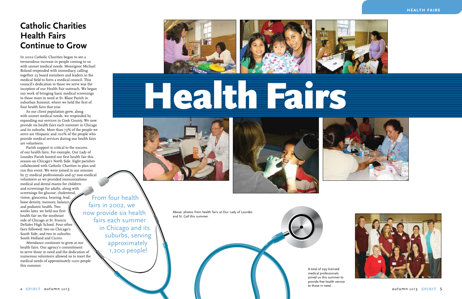#### **health fairs**





## **Catholic Charities Health Fairs Continue to Grow**

In 2002 Catholic Charities began to see a tremendous increase in people coming to us with unmet medical needs. Monsignor Michael Boland responded with immediacy, calling together 25 board members and leaders in the medical field to form a medical council. This council's dedication to those we serve was the inception of our Health Fair outreach. We began our work of bringing basic medical screenings to those most in need at St. Blase Parish in suburban Summit, where we held the first of four health fairs that year.

As our client population grew, along with unmet medical needs, we responded by expanding our services in Cook County. We now provide six health fairs each summer in Chicago and its suburbs. More than 73% of the people we serve are Hispanic and 100% of the people who provide medical services during our health fairs are volunteers.

Parish support is critical to the success of our health fairs. For example, Our Lady of Lourdes Parish hosted our first health fair this season on Chicago's North Side. Eight parishes collaborated with Catholic Charities to plan and run this event. We were joined in our mission by 57 medical professionals and 97 non-medical volunteers as we provided immunizations medical and dental exams for children and screenings for adults, along with screenings for glucose, cholesterol, vision, glaucoma, hearing, lead, bone density, memory, balance, and podiatric health. Two weeks later, we held our first health fair on the southeast side of Chicago at St. Francis DeSales High School. Four other fairs followed; two on Chicago's South Side, and two in suburbs: South Holland and Cicero. From four health fairs in 2002, we now provide six health

Attendance continues to grow at our

health fairs. Our agency's commitment to serve those in need and the dedication of numerous volunteers allowed us to meet the medical needs of approximately 1200 people this summer.







Above: photos from health fairs at Our Lady of Lourdes and St. Gall this summer.

# Health Fairs





fairs each summer

in Chicago and its

suburbs, serving

approximately 1,200 people!

> A total of 299 licensed medical professionals joined us this summer to provide free health service to those in need.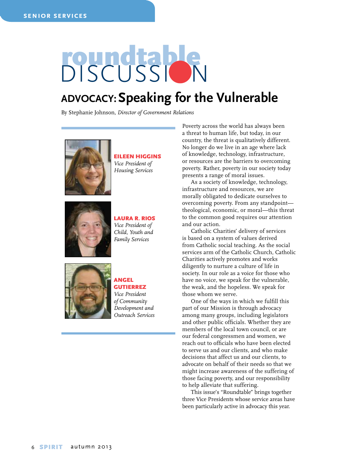## roundts discussion

#### **Advocacy: Speaking for the Vulnerable**

By Stephanie Johnson, *Director of Government Relations*



Eileen Higgins *Vice President of Housing Services* 



#### Laura R. Rios *Vice President of Child, Youth and Family Services*



#### Angel **GUTIERREZ**

*Vice President of Community Development and Outreach Services*

Poverty across the world has always been a threat to human life, but today, in our country, the threat is qualitatively different. No longer do we live in an age where lack of knowledge, technology, infrastructure, or resources are the barriers to overcoming poverty. Rather, poverty in our society today presents a range of moral issues.

As a society of knowledge, technology, infrastructure and resources, we are morally obligated to dedicate ourselves to overcoming poverty. From any standpoint theological, economic, or moral—this threat to the common good requires our attention and our action.

Catholic Charities' delivery of services is based on a system of values derived from Catholic social teaching. As the social services arm of the Catholic Church, Catholic Charities actively promotes and works diligently to nurture a culture of life in society. In our role as a voice for those who have no voice, we speak for the vulnerable, the weak, and the hopeless. We speak for those whom we serve.

One of the ways in which we fulfill this part of our Mission is through advocacy among many groups, including legislators and other public officials. Whether they are members of the local town council, or are our federal congressmen and women, we reach out to officials who have been elected to serve us and our clients, and who make decisions that affect us and our clients, to advocate on behalf of their needs so that we might increase awareness of the suffering of those facing poverty, and our responsibility to help alleviate that suffering.

This issue's "Roundtable" brings together three Vice Presidents whose service areas have been particularly active in advocacy this year.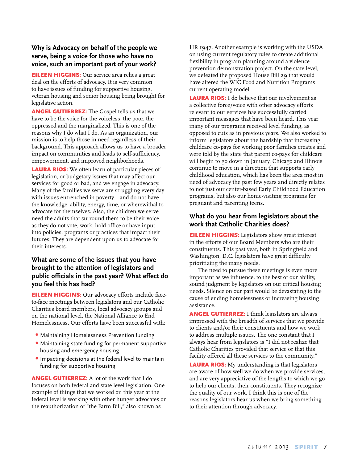#### **Why is Advocacy on behalf of the people we serve, being a voice for those who have no voice, such an important part of your work?**

**EILEEN HIGGINS:** Our service area relies a great deal on the efforts of advocacy. It is very common to have issues of funding for supportive housing, veteran housing and senior housing being brought for legislative action.

ANGEL GUTIERREZ: The Gospel tells us that we have to be the voice for the voiceless, the poor, the oppressed and the marginalized. This is one of the reasons why I do what I do. As an organization, our mission is to help those in need regardless of their background. This approach allows us to have a broader impact on communities and leads to self-sufficiency, empowerment, and improved neighborhoods.

LAURA RIOS: We often learn of particular pieces of legislation, or budgetary issues that may affect our services for good or bad, and we engage in advocacy. Many of the families we serve are struggling every day with issues entrenched in poverty—and do not have the knowledge, ability, energy, time, or wherewithal to advocate for themselves. Also, the children we serve need the adults that surround them to be their voice as they do not vote, work, hold office or have input into policies, programs or practices that impact their futures. They are dependent upon us to advocate for their interests.

#### **What are some of the issues that you have brought to the attention of legislators and public officials in the past year? What effect do you feel this has had?**

**EILEEN HIGGINS:** Our advocacy efforts include faceto-face meetings between legislators and our Catholic Charities board members, local advocacy groups and on the national level, the National Alliance to End Homelessness. Our efforts have been successful with:

- •  Maintaining Homelessness Prevention funding
- •  Maintaining state funding for permanent supportive housing and emergency housing
- •  Impacting decisions at the federal level to maintain funding for supportive housing

ANGEL GUTIERREZ: A lot of the work that I do focuses on both federal and state level legislation. One example of things that we worked on this year at the federal level is working with other hunger advocates on the reauthorization of "the Farm Bill," also known as

HR 1947. Another example is working with the USDA on using current regulatory rules to create additional flexibility in program planning around a violence prevention demonstration project. On the state level, we defeated the proposed House Bill 29 that would have altered the WIC Food and Nutrition Programs current operating model.

**LAURA RIOS:** I do believe that our involvement as a collective force/voice with other advocacy efforts relevant to our services has successfully carried important messages that have been heard. This year many of our programs received level funding, as opposed to cuts as in previous years. We also worked to inform legislators about the hardship that increasing childcare co-pays for working poor families creates and were told by the state that parent co-pays for childcare will begin to go down in January. Chicago and Illinois continue to move in a direction that supports early childhood education, which has been the area most in need of advocacy the past few years and directly relates to not just our center-based Early Childhood Education programs, but also our home-visiting programs for pregnant and parenting teens.

#### **What do you hear from legislators about the work that Catholic Charities does?**

**EILEEN HIGGINS:** Legislators show great interest in the efforts of our Board Members who are their constituents. This past year, both in Springfield and Washington, D.C. legislators have great difficulty prioritizing the many needs.

The need to pursue these meetings is even more important as we influence, to the best of our ability, sound judgment by legislators on our critical housing needs. Silence on our part would be devastating to the cause of ending homelessness or increasing housing assistance.

ANGEL GUTIERREZ: I think legislators are always impressed with the breadth of services that we provide to clients and/or their constituents and how we work to address multiple issues. The one constant that I always hear from legislators is "I did not realize that Catholic Charities provided that service or that this facility offered all these services to the community."

**LAURA RIOS:** My understanding is that legislators are aware of how well we do when we provide services, and are very appreciative of the lengths to which we go to help our clients, their constituents. They recognize the quality of our work. I think this is one of the reasons legislators hear us when we bring something to their attention through advocacy.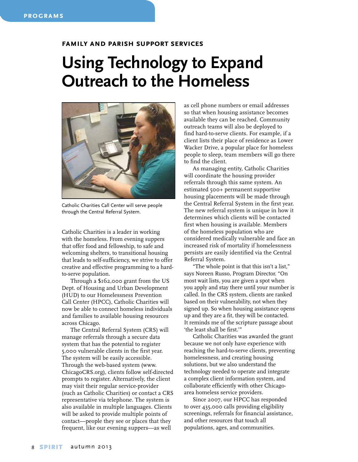#### **family and parish support services**

## **Using Technology to Expand Outreach to the Homeless**



Catholic Charities Call Center will serve people through the Central Referral System.

Catholic Charities is a leader in working with the homeless. From evening suppers that offer food and fellowship, to safe and welcoming shelters, to transitional housing that leads to self-sufficiency, we strive to offer creative and effective programming to a hardto-serve population.

Through a \$162,000 grant from the US Dept. of Housing and Urban Development (HUD) to our Homelessness Prevention Call Center (HPCC), Catholic Charities will now be able to connect homeless individuals and families to available housing resources across Chicago.

The Central Referral System (CRS) will manage referrals through a secure data system that has the potential to register 5,000 vulnerable clients in the first year. The system will be easily accessible. Through the web-based system (www. ChicagoCRS.org), clients follow self-directed prompts to register. Alternatively, the client may visit their regular service-provider (such as Catholic Charities) or contact a CRS representative via telephone. The system is also available in multiple languages. Clients will be asked to provide multiple points of contact—people they see or places that they frequent, like our evening suppers—as well

as cell phone numbers or email addresses so that when housing assistance becomes available they can be reached. Community outreach teams will also be deployed to find hard-to-serve clients. For example, if a client lists their place of residence as Lower Wacker Drive, a popular place for homeless people to sleep, team members will go there to find the client.

As managing entity, Catholic Charities will coordinate the housing provider referrals through this same system. An estimated 500+ permanent supportive housing placements will be made through the Central Referral System in the first year. The new referral system is unique in how it determines which clients will be contacted first when housing is available. Members of the homeless population who are considered medically vulnerable and face an increased risk of mortality if homelessness persists are easily identified via the Central Referral System.

"The whole point is that this isn't a list," says Noreen Russo, Program Director. "On most wait lists, you are given a spot when you apply and stay there until your number is called. In the CRS system, clients are ranked based on their vulnerability, not when they signed up. So when housing assistance opens up and they are a fit, they will be contacted. It reminds me of the scripture passage about 'the least shall be first.'"

Catholic Charities was awarded the grant because we not only have experience with reaching the hard-to-serve clients, preventing homelessness, and creating housing solutions, but we also understand the technology needed to operate and integrate a complex client information system, and collaborate efficiently with other Chicagoarea homeless service providers.

Since 2007, our HPCC has responded to over 435,000 calls providing eligibility screenings, referrals for financial assistance, and other resources that touch all populations, ages, and communities.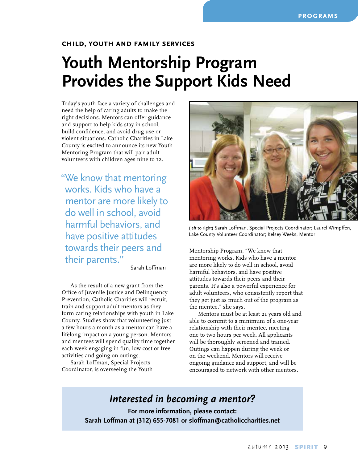#### **child, youth and family services**

## **Youth Mentorship Program Provides the Support Kids Need**

Today's youth face a variety of challenges and need the help of caring adults to make the right decisions. Mentors can offer guidance and support to help kids stay in school, build confidence, and avoid drug use or violent situations. Catholic Charities in Lake County is excited to announce its new Youth Mentoring Program that will pair adult volunteers with children ages nine to 12.

"We know that mentoring works. Kids who have a mentor are more likely to do well in school, avoid harmful behaviors, and have positive attitudes towards their peers and their parents."

Sarah Loffman

As the result of a new grant from the Office of Juvenile Justice and Delinquency Prevention, Catholic Charities will recruit, train and support adult mentors as they form caring relationships with youth in Lake County. Studies show that volunteering just a few hours a month as a mentor can have a lifelong impact on a young person. Mentors and mentees will spend quality time together each week engaging in fun, low-cost or free activities and going on outings.

Sarah Loffman, Special Projects Coordinator, is overseeing the Youth



(left to right) Sarah Loffman, Special Projects Coordinator; Laurel Wimpffen, Lake County Volunteer Coordinator; Kelsey Weeks, Mentor

Mentorship Program, "We know that mentoring works. Kids who have a mentor are more likely to do well in school, avoid harmful behaviors, and have positive attitudes towards their peers and their parents. It's also a powerful experience for adult volunteers, who consistently report that they get just as much out of the program as the mentee," she says.

Mentors must be at least 21 years old and able to commit to a minimum of a one-year relationship with their mentee, meeting one to two hours per week. All applicants will be thoroughly screened and trained. Outings can happen during the week or on the weekend. Mentors will receive ongoing guidance and support, and will be encouraged to network with other mentors.

#### *Interested in becoming a mentor?*

**For more information, please contact: Sarah Loffman at (312) 655-7081 or sloffman@catholiccharities.net**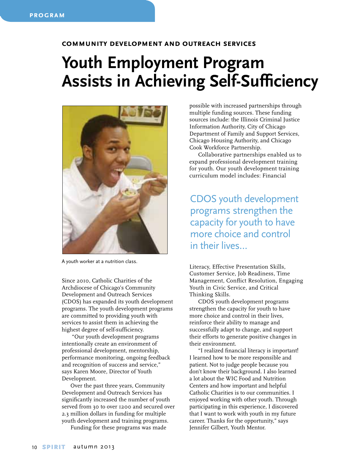#### **community development and outreach services**

## **Youth Employment Program Assists in Achieving Self-Sufficiency**



A youth worker at a nutrition class.

Since 2010, Catholic Charities of the Archdiocese of Chicago's Community Development and Outreach Services (CDOS) has expanded its youth development programs. The youth development programs are committed to providing youth with services to assist them in achieving the highest degree of self-sufficiency.

 "Our youth development programs intentionally create an environment of professional development, mentorship, performance monitoring, ongoing feedback and recognition of success and service," says Karen Moore, Director of Youth Development.

Over the past three years, Community Development and Outreach Services has significantly increased the number of youth served from 30 to over 1200 and secured over 2.3 million dollars in funding for multiple youth development and training programs.

Funding for these programs was made

possible with increased partnerships through multiple funding sources. These funding sources include: the Illinois Criminal Justice Information Authority, City of Chicago Department of Family and Support Services, Chicago Housing Authority, and Chicago Cook Workforce Partnership.

Collaborative partnerships enabled us to expand professional development training for youth. Our youth development training curriculum model includes: Financial

CDOS youth development programs strengthen the capacity for youth to have more choice and control in their lives…

Literacy, Effective Presentation Skills, Customer Service, Job Readiness, Time Management, Conflict Resolution, Engaging Youth in Civic Service, and Critical Thinking Skills.

CDOS youth development programs strengthen the capacity for youth to have more choice and control in their lives, reinforce their ability to manage and successfully adapt to change, and support their efforts to generate positive changes in their environment.

"I realized financial literacy is important! I learned how to be more responsible and patient. Not to judge people because you don't know their background. I also learned a lot about the WIC Food and Nutrition Centers and how important and helpful Catholic Charities is to our communities. I enjoyed working with other youth. Through participating in this experience, I discovered that I want to work with youth in my future career. Thanks for the opportunity," says Jennifer Gilbert, Youth Mentor.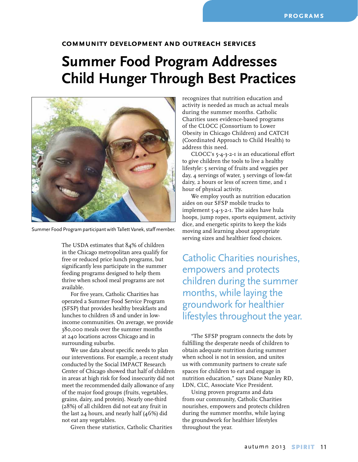#### **community development and outreach services**

## **Summer Food Program Addresses Child Hunger Through Best Practices**



Summer Food Program participant with Tallett Vanek, staff member.

The USDA estimates that 84% of children in the Chicago metropolitan area qualify for free or reduced price lunch programs, but significantly less participate in the summer feeding programs designed to help them thrive when school meal programs are not available.

For five years, Catholic Charities has operated a Summer Food Service Program (SFSP) that provides healthy breakfasts and lunches to children 18 and under in lowincome communities. On average, we provide 380,000 meals over the summer months at 240 locations across Chicago and in surrounding suburbs.

We use data about specific needs to plan our interventions. For example, a recent study conducted by the Social IMPACT Research Center of Chicago showed that half of children in areas at high risk for food insecurity did not meet the recommended daily allowance of any of the major food groups (fruits, vegetables, grains, dairy, and protein). Nearly one-third (28%) of all children did not eat any fruit in the last 24 hours, and nearly half (46%) did not eat any vegetables.

Given these statistics, Catholic Charities

recognizes that nutrition education and activity is needed as much as actual meals during the summer months. Catholic Charities uses evidence-based programs of the CLOCC (Consortium to Lower Obesity in Chicago Children) and CATCH (Coordinated Approach to Child Health) to address this need.

CLOCC's 5-4-3-2-1 is an educational effort to give children the tools to live a healthy lifestyle: 5 serving of fruits and veggies per day, 4 servings of water, 3 servings of low-fat dairy, 2 hours or less of screen time, and 1 hour of physical activity.

We employ youth as nutrition education aides on our SFSP mobile trucks to implement 5-4-3-2-1. The aides have hula hoops, jump ropes, sports equipment, activity dice, and energetic spirits to keep the kids moving and learning about appropriate serving sizes and healthier food choices.

Catholic Charities nourishes, empowers and protects children during the summer months, while laying the groundwork for healthier lifestyles throughout the year.

"The SFSP program connects the dots by fulfilling the desperate needs of children to obtain adequate nutrition during summer when school is not in session, and unites us with community partners to create safe spaces for children to eat and engage in nutrition education," says Diane Nunley RD, LDN, CLC, Associate Vice President.

Using proven programs and data from our community, Catholic Charities nourishes, empowers and protects children during the summer months, while laying the groundwork for healthier lifestyles throughout the year.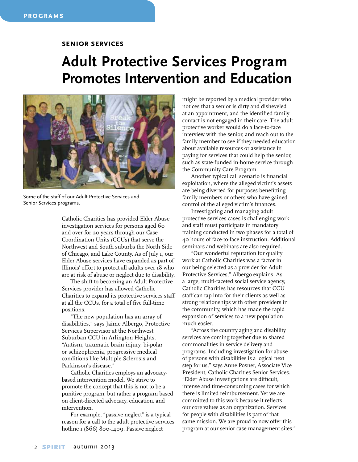#### **senior services**

## **Adult Protective Services Program Promotes Intervention and Education**



Some of the staff of our Adult Protective Services and Senior Services programs.

Catholic Charities has provided Elder Abuse investigation services for persons aged 60 and over for 20 years through our Case Coordination Units (CCUs) that serve the Northwest and South suburbs the North Side of Chicago, and Lake County. As of July 1, our Elder Abuse services have expanded as part of Illinois' effort to protect all adults over 18 who are at risk of abuse or neglect due to disability.

The shift to becoming an Adult Protective Services provider has allowed Catholic Charities to expand its protective services staff at all the CCUs, for a total of five full-time positions.

"The new population has an array of disabilities," says Jaime Albergo, Protective Services Supervisor at the Northwest Suburban CCU in Arlington Heights. "Autism, traumatic brain injury, bi-polar or schizophrenia, progressive medical conditions like Multiple Sclerosis and Parkinson's disease."

Catholic Charities employs an advocacybased intervention model. We strive to promote the concept that this is not to be a punitive program, but rather a program based on client-directed advocacy, education, and intervention.

For example, "passive neglect" is a typical reason for a call to the adult protective services hotline 1 (866) 800-1409. Passive neglect

might be reported by a medical provider who notices that a senior is dirty and disheveled at an appointment, and the identified family contact is not engaged in their care. The adult protective worker would do a face-to-face interview with the senior, and reach out to the family member to see if they needed education about available resources or assistance in paying for services that could help the senior, such as state-funded in-home service through the Community Care Program.

Another typical call scenario is financial exploitation, where the alleged victim's assets are being diverted for purposes benefitting family members or others who have gained control of the alleged victim's finances.

Investigating and managing adult protective services cases is challenging work and staff must participate in mandatory training conducted in two phases for a total of 40 hours of face-to-face instruction. Additional seminars and webinars are also required.

"Our wonderful reputation for quality work at Catholic Charities was a factor in our being selected as a provider for Adult Protective Services," Albergo explains. As a large, multi-faceted social service agency, Catholic Charities has resources that CCU staff can tap into for their clients as well as strong relationships with other providers in the community, which has made the rapid expansion of services to a new population much easier.

"Across the country aging and disability services are coming together due to shared commonalities in service delivery and programs. Including investigation for abuse of persons with disabilities is a logical next step for us," says Anne Posner, Associate Vice President, Catholic Charities Senior Services. "Elder Abuse investigations are difficult, intense and time-consuming cases for which there is limited reimbursement. Yet we are committed to this work because it reflects our core values as an organization. Services for people with disabilities is part of that same mission. We are proud to now offer this program at our senior case management sites."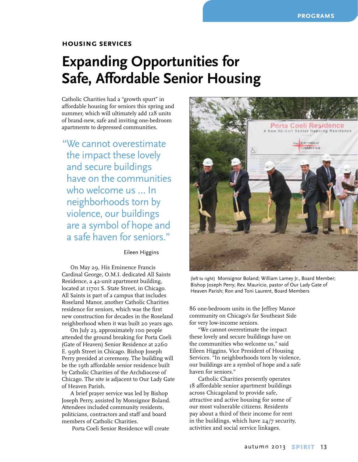#### **housing services**

## **Expanding Opportunities for Safe, Affordable Senior Housing**

Catholic Charities had a "growth spurt" in affordable housing for seniors this spring and summer, which will ultimately add 128 units of brand-new, safe and inviting one-bedroom apartments to depressed communities.

"We cannot overestimate the impact these lovely and secure buildings have on the communities who welcome us … In neighborhoods torn by violence, our buildings are a symbol of hope and a safe haven for seniors."

Eileen Higgins

On May 29, His Eminence Francis Cardinal George, O.M.I. dedicated All Saints Residence, a 42-unit apartment building, located at 11701 S. State Street, in Chicago. All Saints is part of a campus that includes Roseland Manor, another Catholic Charities residence for seniors, which was the first new construction for decades in the Roseland neighborhood when it was built 20 years ago.

On July 23, approximately 100 people attended the ground breaking for Porta Coeli (Gate of Heaven) Senior Residence at 2260 E. 99th Street in Chicago. Bishop Joseph Perry presided at ceremony. The building will be the 19th affordable senior residence built by Catholic Charities of the Archdiocese of Chicago. The site is adjacent to Our Lady Gate of Heaven Parish.

A brief prayer service was led by Bishop Joseph Perry, assisted by Monsignor Boland. Attendees included community residents, politicians, contractors and staff and board members of Catholic Charities.

Porta Coeli Senior Residence will create



(left to right) Monsignor Boland; William Lamey Jr., Board Member; Bishop Joseph Perry; Rev. Mauricio, pastor of Our Lady Gate of Heaven Parish; Ron and Toni Laurent, Board Members

86 one-bedroom units in the Jeffrey Manor community on Chicago's far Southeast Side for very low-income seniors.

"We cannot overestimate the impact these lovely and secure buildings have on the communities who welcome us," said Eileen Higgins, Vice President of Housing Services. "In neighborhoods torn by violence, our buildings are a symbol of hope and a safe haven for seniors."

Catholic Charities presently operates 18 affordable senior apartment buildings across Chicagoland to provide safe, attractive and active housing for some of our most vulnerable citizens. Residents pay about a third of their income for rent in the buildings, which have 24/7 security, activities and social service linkages.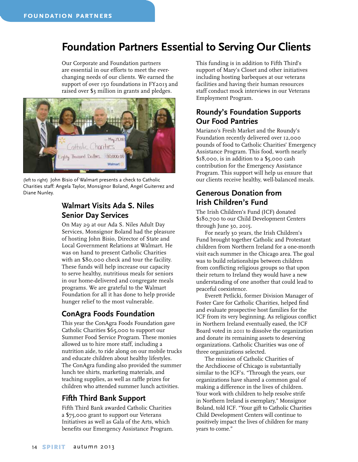#### **Foundation Partners Essential to Serving Our Clients**

Our Corporate and Foundation partners are essential in our efforts to meet the everchanging needs of our clients. We earned the support of over 150 foundations in FY2013 and raised over \$3 million in grants and pledges.



(left to right) John Bisio of Walmart presents a check to Catholic Charities staff: Angela Taylor, Monsignor Boland, Angel Guiterrez and Diane Nunley.

#### **Walmart Visits Ada S. Niles Senior Day Services**

On May 29 at our Ada S. Niles Adult Day Services, Monsignor Boland had the pleasure of hosting John Bisio, Director of State and Local Government Relations at Walmart. He was on hand to present Catholic Charities with an \$80,000 check and tour the facility. These funds will help increase our capacity to serve healthy, nutritious meals for seniors in our home-delivered and congregate meals programs. We are grateful to the Walmart Foundation for all it has done to help provide hunger relief to the most vulnerable.

#### **ConAgra Foods Foundation**

This year the ConAgra Foods Foundation gave Catholic Charities \$65,000 to support our Summer Food Service Program. These monies allowed us to hire more staff, including a nutrition aide, to ride along on our mobile trucks and educate children about healthy lifestyles. The ConAgra funding also provided the summer lunch tee shirts, marketing materials, and teaching supplies, as well as raffle prizes for children who attended summer lunch activities.

#### **Fifth Third Bank Support**

Fifth Third Bank awarded Catholic Charities a \$75,000 grant to support our Veterans Initiatives as well as Gala of the Arts, which benefits our Emergency Assistance Program.

This funding is in addition to Fifth Third's support of Mary's Closet and other initiatives including hosting barbeques at our veterans facilities and having their human resources staff conduct mock interviews in our Veterans Employment Program.

#### **Roundy's Foundation Supports Our Food Pantries**

Mariano's Fresh Market and the Roundy's Foundation recently delivered over 12,000 pounds of food to Catholic Charities' Emergency Assistance Program. This food, worth nearly \$18,000, is in addition to a \$5,000 cash contribution for the Emergency Assistance Program. This support will help us ensure that our clients receive healthy, well-balanced meals.

#### **Generous Donation from Irish Children's Fund**

The Irish Children's Fund (ICF) donated \$180,700 to our Child Development Centers through June 30, 2015.

For nearly 30 years, the Irish Children's Fund brought together Catholic and Protestant children from Northern Ireland for a one-month visit each summer in the Chicago area. The goal was to build relationships between children from conflicting religious groups so that upon their return to Ireland they would have a new understanding of one another that could lead to peaceful coexistence.

Everett Petlicki, former Division Manager of Foster Care for Catholic Charities, helped find and evaluate prospective host families for the ICF from its very beginning. As religious conflict in Northern Ireland eventually eased, the ICF Board voted in 2011 to dissolve the organization and donate its remaining assets to deserving organizations. Catholic Charities was one of three organizations selected.

The mission of Catholic Charities of the Archdiocese of Chicago is substantially similar to the ICF's. "Through the years, our organizations have shared a common goal of making a difference in the lives of children. Your work with children to help resolve strife in Northern Ireland is exemplary," Monsignor Boland, told ICF. "Your gift to Catholic Charities Child Development Centers will continue to positively impact the lives of children for many years to come."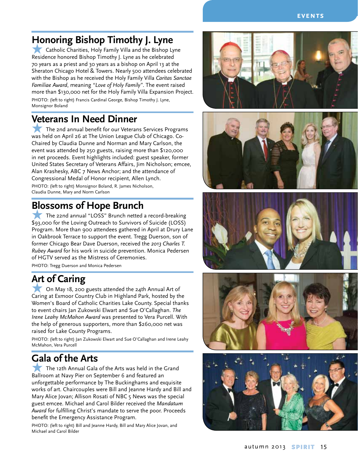#### **Honoring Bishop Timothy J. Lyne**

**K** Catholic Charities, Holy Family Villa and the Bishop Lyne Residence honored Bishop Timothy J. Lyne as he celebrated 70 years as a priest and 30 years as a bishop on April 13 at the Sheraton Chicago Hotel & Towers. Nearly 500 attendees celebrated with the Bishop as he received the Holy Family Villa *Caritas Sanctae Familiae Award*, meaning *"Love of Holy Family"*. The event raised more than \$130,000 net for the Holy Family Villa Expansion Project. PHOTO: (left to right) Francis Cardinal George, Bishop Timothy J. Lyne, Monsignor Boland

#### **Veterans In Need Dinner**

The 2nd annual benefit for our Veterans Services Programs was held on April 26 at The Union League Club of Chicago. Co-Chaired by Claudia Dunne and Norman and Mary Carlson, the event was attended by 250 guests, raising more than \$120,000 in net proceeds. Event highlights included: guest speaker, former United States Secretary of Veterans Affairs, Jim Nicholson; emcee, Alan Krashesky, ABC 7 News Anchor; and the attendance of Congressional Medal of Honor recipient, Allen Lynch. PHOTO: (left to right) Monsignor Boland, R. James Nicholson, Claudia Dunne, Mary and Norm Carlson

#### **Blossoms of Hope Brunch**

 $\blacksquare$  The 22nd annual "LOSS" Brunch netted a record-breaking \$93,000 for the Loving Outreach to Survivors of Suicide (LOSS) Program. More than 900 attendees gathered in April at Drury Lane in Oakbrook Terrace to support the event. Tregg Duerson, son of former Chicago Bear Dave Duerson, received the *2013 Charles T. Rubey Award* for his work in suicide prevention. Monica Pedersen of HGTV served as the Mistress of Ceremonies.

PHOTO: Tregg Duerson and Monica Pedersen

#### **Art of Caring**

**F On May 18, 200 guests attended the 24th Annual Art of** Caring at Exmoor Country Club in Highland Park, hosted by the Women's Board of Catholic Charities Lake County. Special thanks to event chairs Jan Zukowski Elwart and Sue O'Callaghan. *The Irene Leahy McMahon Award* was presented to Vera Purcell. With the help of generous supporters, more than \$260,000 net was raised for Lake County Programs.

PHOTO: (left to right) Jan Zukowski Elwart and Sue O'Callaghan and Irene Leahy McMahon, Vera Purcell

#### **Gala of the Arts**

The 12th Annual Gala of the Arts was held in the Grand Ballroom at Navy Pier on September 6 and featured an unforgettable performance by The Buckinghams and exquisite works of art. Chaircouples were Bill and Jeanne Hardy and Bill and Mary Alice Jovan; Allison Rosati of NBC 5 News was the special guest emcee. Michael and Carol Bilder received the *Mandatum Award* for fulfilling Christ's mandate to serve the poor. Proceeds benefit the Emergency Assistance Program.

PHOTO: (left to right) Bill and Jeanne Hardy, Bill and Mary Alice Jovan, and Michael and Carol Bilder









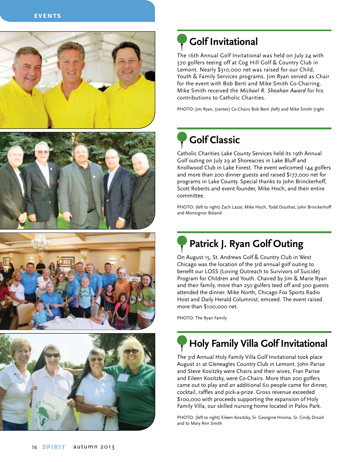







## **Golf Invitational**

The 16th Annual Golf Invitational was held on July 24 with 370 golfers teeing off at Cog Hill Golf & Country Club in Lemont. Nearly \$310,000 net was raised for our Child, Youth & Family Services programs. Jim Ryan served as Chair for the event with Bob Berti and Mike Smith Co-Chairing. Mike Smith received the *Michael R. Sheahan Award* for his contributions to Catholic Charities.

PHOTO: Jim Ryan, (center) Co-Chairs Bob Berti (left) and Mike Smith (right

## **Golf Classic**

Catholic Charities Lake County Services held its 19th Annual Golf outing on July 29 at Shoreacres in Lake Bluff and Knollwood Club in Lake Forest. The event welcomed 144 golfers and more than 200 dinner guests and raised \$177,000 net for programs in Lake County. Special thanks to John Brinckerhoff, Scott Roberts and event founder, Mike Hoch, and their entire committee.

PHOTO: (left to right) Zach Lazar, Mike Hoch, Todd Douthat, John Brinckerhoff and Monsignor Boland

## **Patrick J. Ryan Golf Outing**

On August 15, St. Andrews Golf & Country Club in West Chicago was the location of the 3rd annual golf outing to benefit our LOSS (Loving Outreach to Survivors of Suicide) Program for Children and Youth. Chaired by Jim & Marie Ryan and their family, more than 250 golfers teed off and 300 guests attended the dinner. Mike North, Chicago Fox Sports Radio Host and Daily Herald Columnist, emceed. The event raised more than \$100,000 net.

PHOTO: The Ryan Family

## **Holy Family Villa Golf Invitational**

The 3rd Annual Holy Family Villa Golf Invitational took place August 21 at Gleneagles Country Club in Lemont. John Parise and Steve Kositzky were Chairs and their wives, Fran Parise and Eileen Kositzky, were Co-Chairs. More than 200 golfers came out to play and an additional 60 people came for dinner, cocktail, raffles and pick-a-prize. Gross revenue exceeded \$100,000 with proceeds supporting the expansion of Holy Family Villa, our skilled nursing home located in Palos Park.

PHOTO: (left to right) Eileen Kositzky, Sr. Georgine Hroma, Sr. Cindy Drozd and to Mary Ann Smith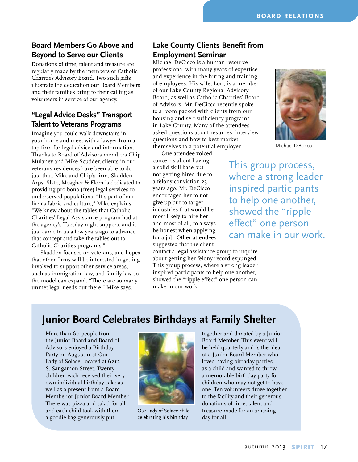#### **Board Members Go Above and Beyond to Serve our Clients**

Donations of time, talent and treasure are regularly made by the members of Catholic Charities Advisory Board. Two such gifts illustrate the dedication our Board Members and their families bring to their calling as volunteers in service of our agency.

#### **"Legal Advice Desks" Transport Talent to Veterans Programs**

Imagine you could walk downstairs in your home and meet with a lawyer from a top firm for legal advice and information. Thanks to Board of Advisors members Chip Mulaney and Mike Scudder, clients in our veterans residences have been able to do just that. Mike and Chip's firm, Skadden, Arps, Slate, Meagher & Flom is dedicated to providing pro bono (free) legal services to underserved populations. "It's part of our firm's fabric and culture," Mike explains. "We knew about the tables that Catholic Charities' Legal Assistance program had at the agency's Tuesday night suppers, and it just came to us a few years ago to advance that concept and take the tables out to Catholic Charities programs."

Skadden focuses on veterans, and hopes that other firms will be interested in getting involved to support other service areas, such as immigration law, and family law so the model can expand. "There are so many unmet legal needs out there," Mike says.

#### **Lake County Clients Benefit from Employment Seminar**

Michael DeCicco is a human resource professional with many years of expertise and experience in the hiring and training of employees. His wife, Lori, is a member of our Lake County Regional Advisory Board, as well as Catholic Charities' Board of Advisors. Mr. DeCicco recently spoke to a room packed with clients from our housing and self-sufficiency programs in Lake County. Many of the attendees asked questions about resumes, interview questions and how to best market themselves to a potential employer.

One attendee voiced concerns about having a solid skill base but not getting hired due to a felony conviction 23 years ago. Mr. DeCicco encouraged her to not give up but to target industries that would be most likely to hire her and most of all, to always be honest when applying for a job. Other attendees suggested that the client

contact a legal assistance group to inquire about getting her felony record expunged. This group process, where a strong leader inspired participants to help one another, showed the "ripple effect" one person can make in our work.



Michael DeCicco

This group process, where a strong leader inspired participants to help one another, showed the "ripple effect" one person can make in our work.

#### **Junior Board Celebrates Birthdays at Family Shelter**

More than 60 people from the Junior Board and Board of Advisors enjoyed a Birthday Party on August 11 at Our Lady of Solace, located at 6212 S. Sangamon Street. Twenty children each received their very own individual birthday cake as well as a present from a Board Member or Junior Board Member. There was pizza and salad for all and each child took with them a goodie bag generously put



Our Lady of Solace child celebrating his birthday.

together and donated by a Junior Board Member. This event will be held quarterly and is the idea of a Junior Board Member who loved having birthday parties as a child and wanted to throw a memorable birthday party for children who may not get to have one. Ten volunteers drove together to the facility and their generous donations of time, talent and treasure made for an amazing day for all.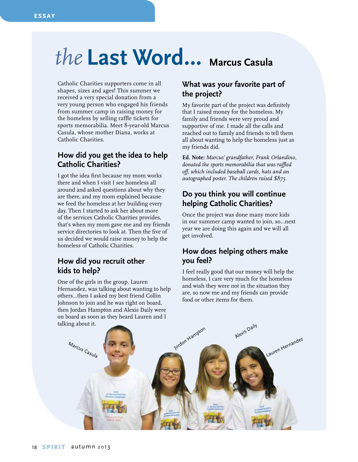**essay**

## *the* **Last Word… Marcus Casula**

Catholic Charities supporters come in all shapes, sizes and ages! This summer we received a very special donation from a very young person who engaged his friends from summer camp in raising money for the homeless by selling raffle tickets for sports memorabilia. Meet 8-year-old Marcus Casula, whose mother Diana, works at Catholic Charities.

#### **How did you get the idea to help Catholic Charities?**

I got the idea first because my mom works there and when I visit I see homeless all around and asked questions about why they are there, and my mom explained because we feed the homeless at her building every day. Then I started to ask her about more of the services Catholic Charities provides, that's when my mom gave me and my friends service directories to look at. Then the five of us decided we would raise money to help the homeless of Catholic Charities.

#### **How did you recruit other kids to help?**

One of the girls in the group, Lauren Hernandez, was talking about wanting to help others…then I asked my best friend Collin Johnson to join and he was right on board, then Jordan Hampton and Alexis Daily were on board as soon as they heard Lauren and I talking about it.

#### **What was your favorite part of the project?**

My favorite part of the project was definitely that I raised money for the homeless. My family and friends were very proud and supportive of me. I made all the calls and reached out to family and friends to tell them all about wanting to help the homeless just as my friends did.

**Ed. Note:** *Marcus' grandfather, Frank Orlandino, donated the sports memorabilia that was raffled off, which included baseball cards, hats and an autographed poster. The children raised \$875.* 

#### **Do you think you will continue helping Catholic Charities?**

Once the project was done many more kids in our summer camp wanted to join, so…next year we are doing this again and we will all get involved.

#### **How does helping others make you feel?**

I feel really good that our money will help the homeless, I care very much for the homeless and wish they were not in the situation they are, so now me and my friends can provide food or other items for them.

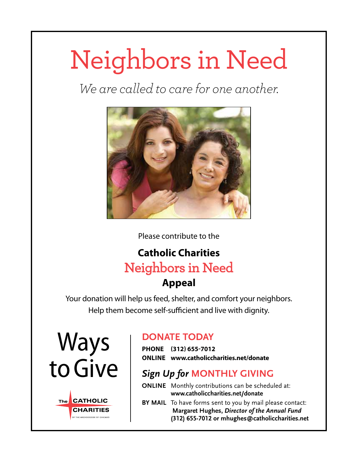## Neighbors in Need

*We are called to care for one another.*



Please contribute to the

### **Catholic Charities**  Neighbors in Need **Appeal**

Your donation will help us feed, shelter, and comfort your neighbors. Help them become self-sufficient and live with dignity.





#### **DONATE TODAY**

**Phone (312) 655-7012 Online www.catholiccharities.net/donate**

#### *Sign Up for* **MONTHLY gIVING**

**ONLINE** Monthly contributions can be scheduled at: **www.catholiccharities.net/donate**

**BY MAIL** To have forms sent to you by mail please contact:  **Margaret Hughes,** *Director of the Annual Fund* **(312) 655-7012 or mhughes@catholiccharities.net**